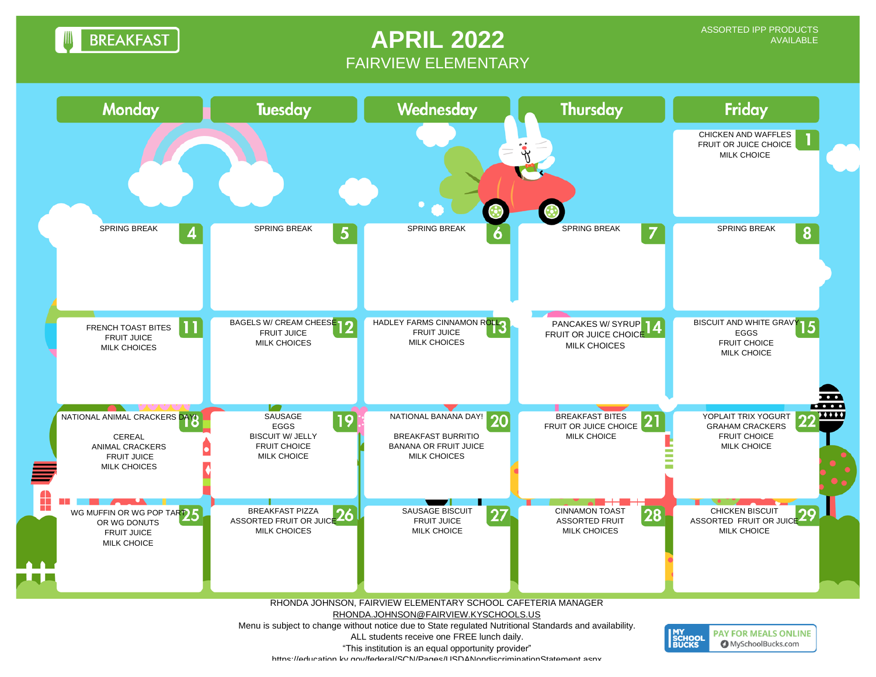**BREAKFAST** 

## **APRIL 2022** FAIRVIEW ELEMENTARY

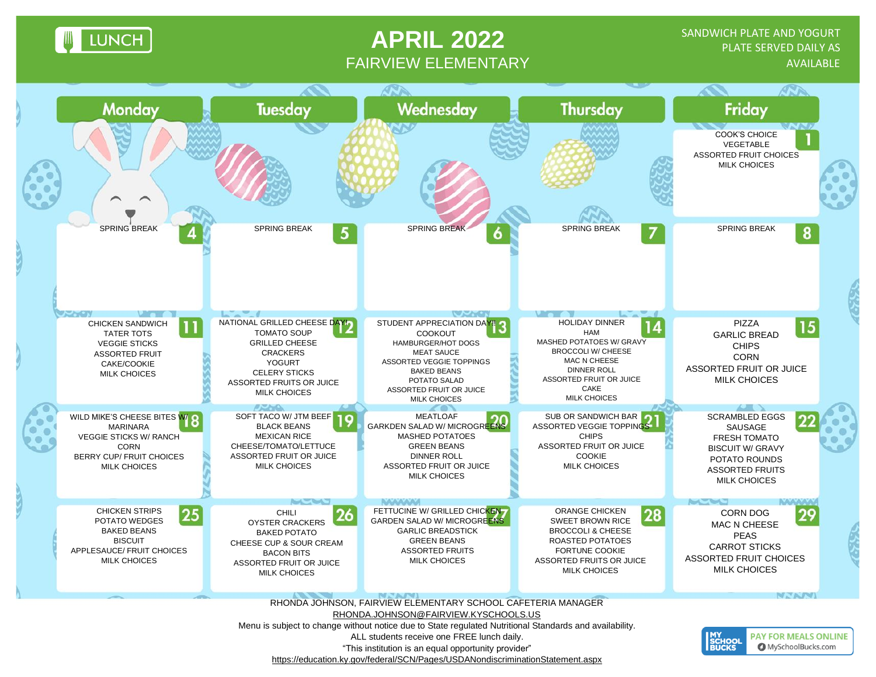**LUNCH** 

## **APRIL 2022** FAIRVIEW ELEMENTARY